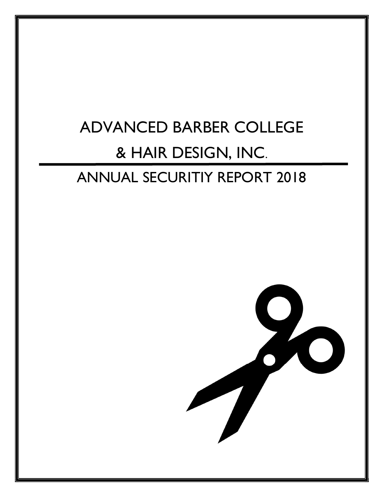# ADVANCED BARBER COLLEGE & HAIR DESIGN, INC.

## ANNUAL SECURITIY REPORT 2018

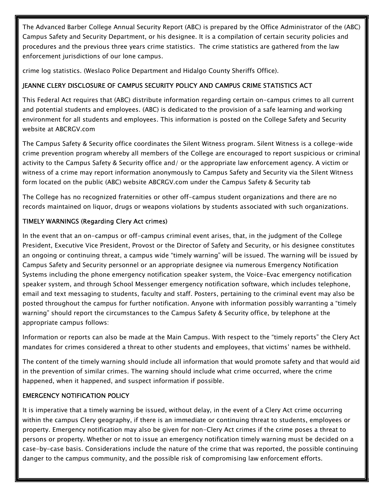The Advanced Barber College Annual Security Report (ABC) is prepared by the Office Administrator of the (ABC) Campus Safety and Security Department, or his designee. It is a compilation of certain security policies and procedures and the previous three years crime statistics. The crime statistics are gathered from the law enforcement jurisdictions of our lone campus.

crime log statistics. (Weslaco Police Department and Hidalgo County Sheriffs Office).

## JEANNE CLERY DISCLOSURE OF CAMPUS SECURITY POLICY AND CAMPUS CRIME STATISTICS ACT

This Federal Act requires that (ABC) distribute information regarding certain on-campus crimes to all current and potential students and employees. (ABC) is dedicated to the provision of a safe learning and working environment for all students and employees. This information is posted on the College Safety and Security website at ABCRGV.com

The Campus Safety & Security office coordinates the Silent Witness program. Silent Witness is a college-wide crime prevention program whereby all members of the College are encouraged to report suspicious or criminal activity to the Campus Safety & Security office and/ or the appropriate law enforcement agency. A victim or witness of a crime may report information anonymously to Campus Safety and Security via the Silent Witness form located on the public (ABC) website ABCRGV.com under the Campus Safety & Security tab

The College has no recognized fraternities or other off-campus student organizations and there are no records maintained on liquor, drugs or weapons violations by students associated with such organizations.

## TIMELY WARNINGS (Regarding Clery Act crimes)

In the event that an on-campus or off-campus criminal event arises, that, in the judgment of the College President, Executive Vice President, Provost or the Director of Safety and Security, or his designee constitutes an ongoing or continuing threat, a campus wide "timely warning" will be issued. The warning will be issued by Campus Safety and Security personnel or an appropriate designee via numerous Emergency Notification Systems including the phone emergency notification speaker system, the Voice-Evac emergency notification speaker system, and through School Messenger emergency notification software, which includes telephone, email and text messaging to students, faculty and staff. Posters, pertaining to the criminal event may also be posted throughout the campus for further notification. Anyone with information possibly warranting a "timely warning" should report the circumstances to the Campus Safety & Security office, by telephone at the appropriate campus follows:

Information or reports can also be made at the Main Campus. With respect to the "timely reports" the Clery Act mandates for crimes considered a threat to other students and employees, that victims' names be withheld.

The content of the timely warning should include all information that would promote safety and that would aid in the prevention of similar crimes. The warning should include what crime occurred, where the crime happened, when it happened, and suspect information if possible.

#### EMERGENCY NOTIFICATION POLICY

It is imperative that a timely warning be issued, without delay, in the event of a Clery Act crime occurring within the campus Clery geography, if there is an immediate or continuing threat to students, employees or property. Emergency notification may also be given for non-Clery Act crimes if the crime poses a threat to persons or property. Whether or not to issue an emergency notification timely warning must be decided on a case-by-case basis. Considerations include the nature of the crime that was reported, the possible continuing danger to the campus community, and the possible risk of compromising law enforcement efforts.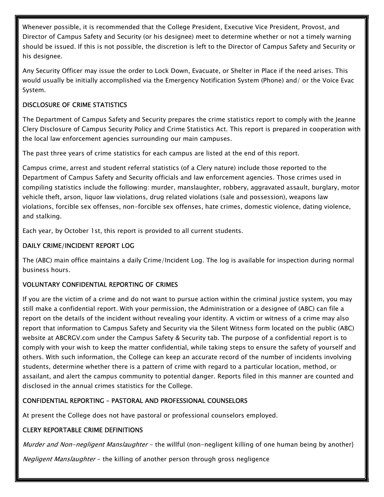Whenever possible, it is recommended that the College President, Executive Vice President, Provost, and Director of Campus Safety and Security (or his designee) meet to determine whether or not a timely warning should be issued. If this is not possible, the discretion is left to the Director of Campus Safety and Security or his designee.

Any Security Officer may issue the order to Lock Down, Evacuate, or Shelter in Place if the need arises. This would usually be initially accomplished via the Emergency Notification System (Phone) and/ or the Voice Evac System.

## DISCLOSURE OF CRIME STATISTICS

The Department of Campus Safety and Security prepares the crime statistics report to comply with the Jeanne Clery Disclosure of Campus Security Policy and Crime Statistics Act. This report is prepared in cooperation with the local law enforcement agencies surrounding our main campuses.

The past three years of crime statistics for each campus are listed at the end of this report.

Campus crime, arrest and student referral statistics (of a Clery nature) include those reported to the Department of Campus Safety and Security officials and law enforcement agencies. Those crimes used in compiling statistics include the following: murder, manslaughter, robbery, aggravated assault, burglary, motor vehicle theft, arson, liquor law violations, drug related violations (sale and possession), weapons law violations, forcible sex offenses, non-forcible sex offenses, hate crimes, domestic violence, dating violence, and stalking.

Each year, by October 1st, this report is provided to all current students.

## DAILY CRIME/INCIDENT REPORT LOG

The (ABC) main office maintains a daily Crime/Incident Log. The log is available for inspection during normal business hours.

## VOLUNTARY CONFIDENTIAL REPORTING OF CRIMES

If you are the victim of a crime and do not want to pursue action within the criminal justice system, you may still make a confidential report. With your permission, the Administration or a designee of (ABC) can file a report on the details of the incident without revealing your identity. A victim or witness of a crime may also report that information to Campus Safety and Security via the Silent Witness form located on the public (ABC) website at ABCRGV.com under the Campus Safety & Security tab. The purpose of a confidential report is to comply with your wish to keep the matter confidential, while taking steps to ensure the safety of yourself and others. With such information, the College can keep an accurate record of the number of incidents involving students, determine whether there is a pattern of crime with regard to a particular location, method, or assailant, and alert the campus community to potential danger. Reports filed in this manner are counted and disclosed in the annual crimes statistics for the College.

## CONFIDENTIAL REPORTING – PASTORAL AND PROFESSIONAL COUNSELORS

At present the College does not have pastoral or professional counselors employed.

#### CLERY REPORTABLE CRIME DEFINITIONS

Murder and Non-negligent Manslaughter - the willful (non-negligent killing of one human being by another}

Negligent Manslaughter - the killing of another person through gross negligence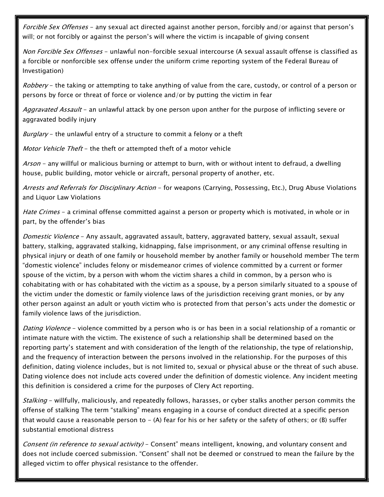Forcible Sex Offenses - any sexual act directed against another person, forcibly and/or against that person's will; or not forcibly or against the person's will where the victim is incapable of giving consent

Non Forcible Sex Offenses - unlawful non-forcible sexual intercourse (A sexual assault offense is classified as a forcible or nonforcible sex offense under the uniform crime reporting system of the Federal Bureau of Investigation)

Robbery – the taking or attempting to take anything of value from the care, custody, or control of a person or persons by force or threat of force or violence and/or by putting the victim in fear

Aggravated Assault - an unlawful attack by one person upon anther for the purpose of inflicting severe or aggravated bodily injury

Burglary - the unlawful entry of a structure to commit a felony or a theft

Motor Vehicle Theft - the theft or attempted theft of a motor vehicle

Arson - any willful or malicious burning or attempt to burn, with or without intent to defraud, a dwelling house, public building, motor vehicle or aircraft, personal property of another, etc.

Arrests and Referrals for Disciplinary Action - for weapons (Carrying, Possessing, Etc.), Drug Abuse Violations and Liquor Law Violations

Hate Crimes - a criminal offense committed against a person or property which is motivated, in whole or in part, by the offender's bias

Domestic Violence - Any assault, aggravated assault, battery, aggravated battery, sexual assault, sexual battery, stalking, aggravated stalking, kidnapping, false imprisonment, or any criminal offense resulting in physical injury or death of one family or household member by another family or household member The term "domestic violence" includes felony or misdemeanor crimes of violence committed by a current or former spouse of the victim, by a person with whom the victim shares a child in common, by a person who is cohabitating with or has cohabitated with the victim as a spouse, by a person similarly situated to a spouse of the victim under the domestic or family violence laws of the jurisdiction receiving grant monies, or by any other person against an adult or youth victim who is protected from that person's acts under the domestic or family violence laws of the jurisdiction.

Dating Violence - violence committed by a person who is or has been in a social relationship of a romantic or intimate nature with the victim. The existence of such a relationship shall be determined based on the reporting party's statement and with consideration of the length of the relationship, the type of relationship, and the frequency of interaction between the persons involved in the relationship. For the purposes of this definition, dating violence includes, but is not limited to, sexual or physical abuse or the threat of such abuse. Dating violence does not include acts covered under the definition of domestic violence. Any incident meeting this definition is considered a crime for the purposes of Clery Act reporting.

Stalking - willfully, maliciously, and repeatedly follows, harasses, or cyber stalks another person commits the offense of stalking The term "stalking" means engaging in a course of conduct directed at a specific person that would cause a reasonable person to  $-$  (A) fear for his or her safety or the safety of others; or (B) suffer substantial emotional distress

Consent (in reference to sexual activity) - Consent" means intelligent, knowing, and voluntary consent and does not include coerced submission. "Consent" shall not be deemed or construed to mean the failure by the alleged victim to offer physical resistance to the offender.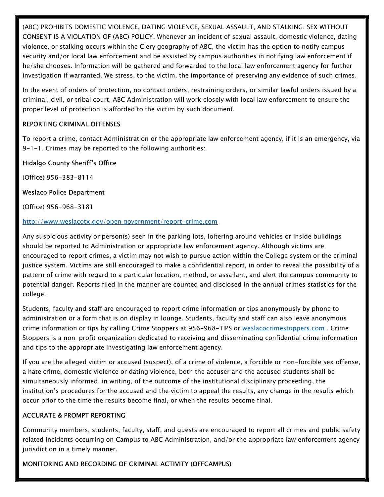(ABC) PROHIBITS DOMESTIC VIOLENCE, DATING VIOLENCE, SEXUAL ASSAULT, AND STALKING. SEX WITHOUT CONSENT IS A VIOLATION OF (ABC) POLICY. Whenever an incident of sexual assault, domestic violence, dating violence, or stalking occurs within the Clery geography of ABC, the victim has the option to notify campus security and/or local law enforcement and be assisted by campus authorities in notifying law enforcement if he/she chooses. Information will be gathered and forwarded to the local law enforcement agency for further investigation if warranted. We stress, to the victim, the importance of preserving any evidence of such crimes.

In the event of orders of protection, no contact orders, restraining orders, or similar lawful orders issued by a criminal, civil, or tribal court, ABC Administration will work closely with local law enforcement to ensure the proper level of protection is afforded to the victim by such document.

#### REPORTING CRIMINAL OFFENSES

To report a crime, contact Administration or the appropriate law enforcement agency, if it is an emergency, via 9-1-1. Crimes may be reported to the following authorities:

## Hidalgo County Sheriff's Office

(Office) 956-383-8114

#### Weslaco Police Department

(Office) 956-968-3181

#### http://www.weslacotx.gov/open government/report-crime.com

Any suspicious activity or person(s) seen in the parking lots, loitering around vehicles or inside buildings should be reported to Administration or appropriate law enforcement agency. Although victims are encouraged to report crimes, a victim may not wish to pursue action within the College system or the criminal justice system. Victims are still encouraged to make a confidential report, in order to reveal the possibility of a pattern of crime with regard to a particular location, method, or assailant, and alert the campus community to potential danger. Reports filed in the manner are counted and disclosed in the annual crimes statistics for the college.

Students, faculty and staff are encouraged to report crime information or tips anonymously by phone to administration or a form that is on display in lounge. Students, faculty and staff can also leave anonymous crime information or tips by calling Crime Stoppers at 956-968-TIPS or weslacocrimestoppers.com . Crime Stoppers is a non-profit organization dedicated to receiving and disseminating confidential crime information and tips to the appropriate investigating law enforcement agency.

If you are the alleged victim or accused (suspect), of a crime of violence, a forcible or non-forcible sex offense, a hate crime, domestic violence or dating violence, both the accuser and the accused students shall be simultaneously informed, in writing, of the outcome of the institutional disciplinary proceeding, the institution's procedures for the accused and the victim to appeal the results, any change in the results which occur prior to the time the results become final, or when the results become final.

#### ACCURATE & PROMPT REPORTING

Community members, students, faculty, staff, and guests are encouraged to report all crimes and public safety related incidents occurring on Campus to ABC Administration, and/or the appropriate law enforcement agency jurisdiction in a timely manner.

MONITORING AND RECORDING OF CRIMINAL ACTIVITY (OFFCAMPUS)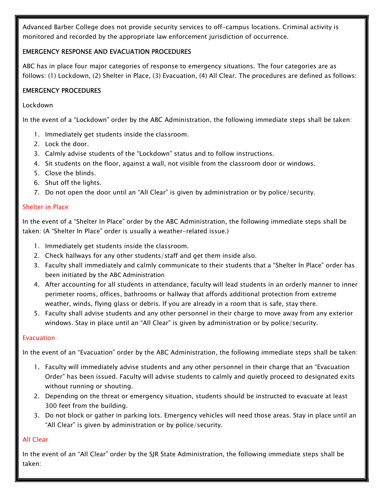Advanced Barber College does not provide security services to off-campus locations. Criminal activity is monitored and recorded by the appropriate law enforcement jurisdiction of occurrence.

#### EMERGENCY RESPONSE AND EVACUATION PROCEDURES

ABC has in place four major categories of response to emergency situations. The four categories are as follows: (1) Lockdown, (2) Shelter in Place, (3) Evacuation, (4) All Clear. The procedures are defined as follows:

#### EMERGENCY PROCEDURES

#### Lockdown

In the event of a "Lockdown" order by the ABC Administration, the following immediate steps shall be taken:

- 1. Immediately get students inside the classroom.
- 2. Lock the door.
- 3. Calmly advise students of the "Lockdown" status and to follow instructions.
- 4. Sit students on the floor, against a wall, not visible from the classroom door or windows.
- 5. Close the blinds.
- 6. Shut off the lights.
- 7. Do not open the door until an "All Clear" is given by administration or by police/security.

#### Shelter in Place

In the event of a "Shelter In Place" order by the ABC Administration, the following immediate steps shall be taken: (A "Shelter In Place" order is usually a weather-related issue.)

- 1. Immediately get students inside the classroom.
- 2. Check hallways for any other students/staff and get them inside also.
- 3. Faculty shall immediately and calmly communicate to their students that a "Shelter In Place" order has been initiated by the ABC Administration
- 4. After accounting for all students in attendance, faculty will lead students in an orderly manner to inner perimeter rooms, offices, bathrooms or hallway that affords additional protection from extreme weather, winds, flying glass or debris. If you are already in a room that is safe, stay there.
- 5. Faculty shall advise students and any other personnel in their charge to move away from any exterior windows. Stay in place until an "All Clear" is given by administration or by police/security.

#### Evacuation

In the event of an "Evacuation" order by the ABC Administration, the following immediate steps shall be taken:

- 1. Faculty will immediately advise students and any other personnel in their charge that an "Evacuation Order" has been issued. Faculty will advise students to calmly and quietly proceed to designated exits without running or shouting.
- 2. Depending on the threat or emergency situation, students should be instructed to evacuate at least 300 feet from the building.
- 3. Do not block or gather in parking lots. Emergency vehicles will need those areas. Stay in place until an "All Clear" is given by administration or by police/security.

#### All Clear

In the event of an "All Clear" order by the SJR State Administration, the following immediate steps shall be taken: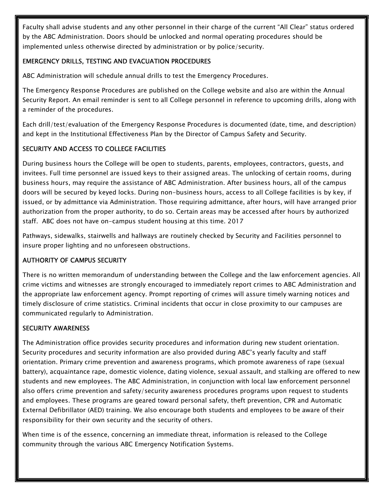Faculty shall advise students and any other personnel in their charge of the current "All Clear" status ordered by the ABC Administration. Doors should be unlocked and normal operating procedures should be implemented unless otherwise directed by administration or by police/security.

#### EMERGENCY DRILLS, TESTING AND EVACUATION PROCEDURES

ABC Administration will schedule annual drills to test the Emergency Procedures.

The Emergency Response Procedures are published on the College website and also are within the Annual Security Report. An email reminder is sent to all College personnel in reference to upcoming drills, along with a reminder of the procedures.

Each drill/test/evaluation of the Emergency Response Procedures is documented (date, time, and description) and kept in the Institutional Effectiveness Plan by the Director of Campus Safety and Security.

## SECURITY AND ACCESS TO COLLEGE FACILITIES

During business hours the College will be open to students, parents, employees, contractors, guests, and invitees. Full time personnel are issued keys to their assigned areas. The unlocking of certain rooms, during business hours, may require the assistance of ABC Administration. After business hours, all of the campus doors will be secured by keyed locks. During non-business hours, access to all College facilities is by key, if issued, or by admittance via Administration. Those requiring admittance, after hours, will have arranged prior authorization from the proper authority, to do so. Certain areas may be accessed after hours by authorized staff. ABC does not have on-campus student housing at this time. 2017

Pathways, sidewalks, stairwells and hallways are routinely checked by Security and Facilities personnel to insure proper lighting and no unforeseen obstructions.

## AUTHORITY OF CAMPUS SECURITY

There is no written memorandum of understanding between the College and the law enforcement agencies. All crime victims and witnesses are strongly encouraged to immediately report crimes to ABC Administration and the appropriate law enforcement agency. Prompt reporting of crimes will assure timely warning notices and timely disclosure of crime statistics. Criminal incidents that occur in close proximity to our campuses are communicated regularly to Administration.

## SECURITY AWARENESS

The Administration office provides security procedures and information during new student orientation. Security procedures and security information are also provided during ABC's yearly faculty and staff orientation. Primary crime prevention and awareness programs, which promote awareness of rape (sexual battery), acquaintance rape, domestic violence, dating violence, sexual assault, and stalking are offered to new students and new employees. The ABC Administration, in conjunction with local law enforcement personnel also offers crime prevention and safety/security awareness procedures programs upon request to students and employees. These programs are geared toward personal safety, theft prevention, CPR and Automatic External Defibrillator (AED) training. We also encourage both students and employees to be aware of their responsibility for their own security and the security of others.

When time is of the essence, concerning an immediate threat, information is released to the College community through the various ABC Emergency Notification Systems.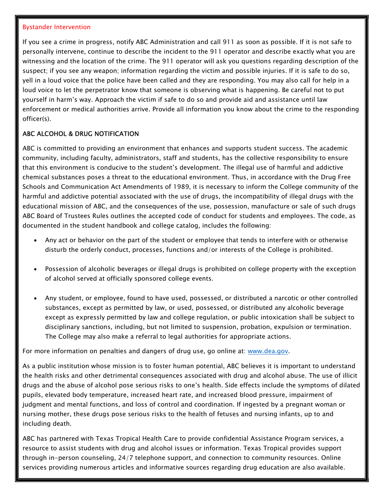#### Bystander Intervention

If you see a crime in progress, notify ABC Administration and call 911 as soon as possible. If it is not safe to personally intervene, continue to describe the incident to the 911 operator and describe exactly what you are witnessing and the location of the crime. The 911 operator will ask you questions regarding description of the suspect; if you see any weapon; information regarding the victim and possible injuries. If it is safe to do so, yell in a loud voice that the police have been called and they are responding. You may also call for help in a loud voice to let the perpetrator know that someone is observing what is happening. Be careful not to put yourself in harm's way. Approach the victim if safe to do so and provide aid and assistance until law enforcement or medical authorities arrive. Provide all information you know about the crime to the responding officer(s).

#### ABC ALCOHOL & DRUG NOTIFICATION

ABC is committed to providing an environment that enhances and supports student success. The academic community, including faculty, administrators, staff and students, has the collective responsibility to ensure that this environment is conducive to the student's development. The illegal use of harmful and addictive chemical substances poses a threat to the educational environment. Thus, in accordance with the Drug Free Schools and Communication Act Amendments of 1989, it is necessary to inform the College community of the harmful and addictive potential associated with the use of drugs, the incompatibility of illegal drugs with the educational mission of ABC, and the consequences of the use, possession, manufacture or sale of such drugs ABC Board of Trustees Rules outlines the accepted code of conduct for students and employees. The code, as documented in the student handbook and college catalog, includes the following:

- Any act or behavior on the part of the student or employee that tends to interfere with or otherwise disturb the orderly conduct, processes, functions and/or interests of the College is prohibited.
- Possession of alcoholic beverages or illegal drugs is prohibited on college property with the exception of alcohol served at officially sponsored college events.
- Any student, or employee, found to have used, possessed, or distributed a narcotic or other controlled substances, except as permitted by law, or used, possessed, or distributed any alcoholic beverage except as expressly permitted by law and college regulation, or public intoxication shall be subject to disciplinary sanctions, including, but not limited to suspension, probation, expulsion or termination. The College may also make a referral to legal authorities for appropriate actions.

For more information on penalties and dangers of drug use, go online at: www.dea.gov.

As a public institution whose mission is to foster human potential, ABC believes it is important to understand the health risks and other detrimental consequences associated with drug and alcohol abuse. The use of illicit drugs and the abuse of alcohol pose serious risks to one's health. Side effects include the symptoms of dilated pupils, elevated body temperature, increased heart rate, and increased blood pressure, impairment of judgment and mental functions, and loss of control and coordination. If ingested by a pregnant woman or nursing mother, these drugs pose serious risks to the health of fetuses and nursing infants, up to and including death.

ABC has partnered with Texas Tropical Health Care to provide confidential Assistance Program services, a resource to assist students with drug and alcohol issues or information. Texas Tropical provides support through in-person counseling, 24/7 telephone support, and connection to community resources. Online services providing numerous articles and informative sources regarding drug education are also available.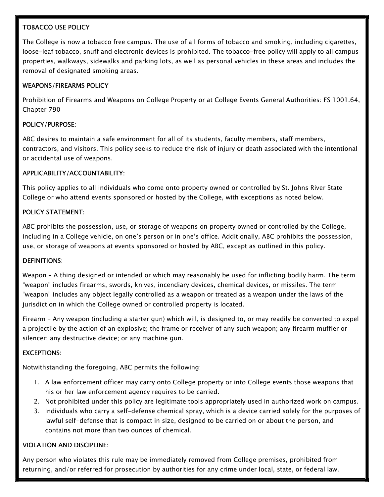#### TOBACCO USE POLICY

The College is now a tobacco free campus. The use of all forms of tobacco and smoking, including cigarettes, loose-leaf tobacco, snuff and electronic devices is prohibited. The tobacco-free policy will apply to all campus properties, walkways, sidewalks and parking lots, as well as personal vehicles in these areas and includes the removal of designated smoking areas.

## WEAPONS/FIREARMS POLICY

Prohibition of Firearms and Weapons on College Property or at College Events General Authorities: FS 1001.64, Chapter 790

## POLICY/PURPOSE:

ABC desires to maintain a safe environment for all of its students, faculty members, staff members, contractors, and visitors. This policy seeks to reduce the risk of injury or death associated with the intentional or accidental use of weapons.

#### APPLICABILITY/ACCOUNTABILITY:

This policy applies to all individuals who come onto property owned or controlled by St. Johns River State College or who attend events sponsored or hosted by the College, with exceptions as noted below.

#### POLICY STATEMENT:

ABC prohibits the possession, use, or storage of weapons on property owned or controlled by the College, including in a College vehicle, on one's person or in one's office. Additionally, ABC prohibits the possession, use, or storage of weapons at events sponsored or hosted by ABC, except as outlined in this policy.

#### DEFINITIONS:

Weapon – A thing designed or intended or which may reasonably be used for inflicting bodily harm. The term "weapon" includes firearms, swords, knives, incendiary devices, chemical devices, or missiles. The term "weapon" includes any object legally controlled as a weapon or treated as a weapon under the laws of the jurisdiction in which the College owned or controlled property is located.

Firearm – Any weapon (including a starter gun) which will, is designed to, or may readily be converted to expel a projectile by the action of an explosive; the frame or receiver of any such weapon; any firearm muffler or silencer; any destructive device; or any machine gun.

## EXCEPTIONS:

Notwithstanding the foregoing, ABC permits the following:

- 1. A law enforcement officer may carry onto College property or into College events those weapons that his or her law enforcement agency requires to be carried.
- 2. Not prohibited under this policy are legitimate tools appropriately used in authorized work on campus.
- 3. Individuals who carry a self-defense chemical spray, which is a device carried solely for the purposes of lawful self-defense that is compact in size, designed to be carried on or about the person, and contains not more than two ounces of chemical.

## VIOLATION AND DISCIPLINE:

Any person who violates this rule may be immediately removed from College premises, prohibited from returning, and/or referred for prosecution by authorities for any crime under local, state, or federal law.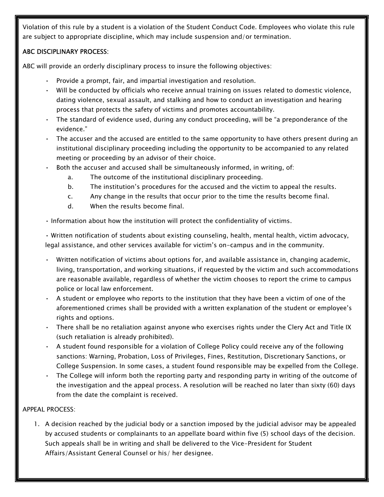Violation of this rule by a student is a violation of the Student Conduct Code. Employees who violate this rule are subject to appropriate discipline, which may include suspension and/or termination.

## ABC DISCIPLINARY PROCESS:

ABC will provide an orderly disciplinary process to insure the following objectives:

- Provide a prompt, fair, and impartial investigation and resolution.
- Will be conducted by officials who receive annual training on issues related to domestic violence, dating violence, sexual assault, and stalking and how to conduct an investigation and hearing process that protects the safety of victims and promotes accountability.
- The standard of evidence used, during any conduct proceeding, will be "a preponderance of the evidence."
- The accuser and the accused are entitled to the same opportunity to have others present during an institutional disciplinary proceeding including the opportunity to be accompanied to any related meeting or proceeding by an advisor of their choice.
- Both the accuser and accused shall be simultaneously informed, in writing, of:
	- a. The outcome of the institutional disciplinary proceeding.
	- b. The institution's procedures for the accused and the victim to appeal the results.
	- c. Any change in the results that occur prior to the time the results become final.
	- d. When the results become final.
- Information about how the institution will protect the confidentiality of victims.

• Written notification of students about existing counseling, health, mental health, victim advocacy, legal assistance, and other services available for victim's on-campus and in the community.

- Written notification of victims about options for, and available assistance in, changing academic, living, transportation, and working situations, if requested by the victim and such accommodations are reasonable available, regardless of whether the victim chooses to report the crime to campus police or local law enforcement.
- A student or employee who reports to the institution that they have been a victim of one of the aforementioned crimes shall be provided with a written explanation of the student or employee's rights and options.
- There shall be no retaliation against anyone who exercises rights under the Clery Act and Title IX (such retaliation is already prohibited).
- A student found responsible for a violation of College Policy could receive any of the following sanctions: Warning, Probation, Loss of Privileges, Fines, Restitution, Discretionary Sanctions, or College Suspension. In some cases, a student found responsible may be expelled from the College.
- The College will inform both the reporting party and responding party in writing of the outcome of the investigation and the appeal process. A resolution will be reached no later than sixty (60) days from the date the complaint is received.

#### APPEAL PROCESS:

1. A decision reached by the judicial body or a sanction imposed by the judicial advisor may be appealed by accused students or complainants to an appellate board within five (5) school days of the decision. Such appeals shall be in writing and shall be delivered to the Vice-President for Student Affairs/Assistant General Counsel or his/ her designee.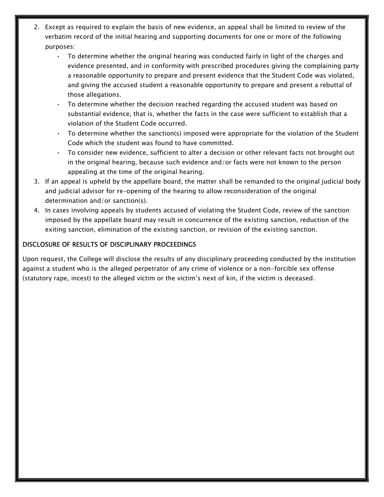- 2. Except as required to explain the basis of new evidence, an appeal shall be limited to review of the verbatim record of the initial hearing and supporting documents for one or more of the following purposes:
	- To determine whether the original hearing was conducted fairly in light of the charges and evidence presented, and in conformity with prescribed procedures giving the complaining party a reasonable opportunity to prepare and present evidence that the Student Code was violated, and giving the accused student a reasonable opportunity to prepare and present a rebuttal of those allegations.
	- To determine whether the decision reached regarding the accused student was based on substantial evidence, that is, whether the facts in the case were sufficient to establish that a violation of the Student Code occurred.
	- To determine whether the sanction(s) imposed were appropriate for the violation of the Student Code which the student was found to have committed.
	- To consider new evidence, sufficient to alter a decision or other relevant facts not brought out in the original hearing, because such evidence and/or facts were not known to the person appealing at the time of the original hearing.
- 3. If an appeal is upheld by the appellate board, the matter shall be remanded to the original judicial body and judicial advisor for re-opening of the hearing to allow reconsideration of the original determination and/or sanction(s).
- 4. In cases involving appeals by students accused of violating the Student Code, review of the sanction imposed by the appellate board may result in concurrence of the existing sanction, reduction of the exiting sanction, elimination of the existing sanction, or revision of the existing sanction.

#### DISCLOSURE OF RESULTS OF DISCIPLINARY PROCEEDINGS

Upon request, the College will disclose the results of any disciplinary proceeding conducted by the institution against a student who is the alleged perpetrator of any crime of violence or a non-forcible sex offense (statutory rape, incest) to the alleged victim or the victim's next of kin, if the victim is deceased.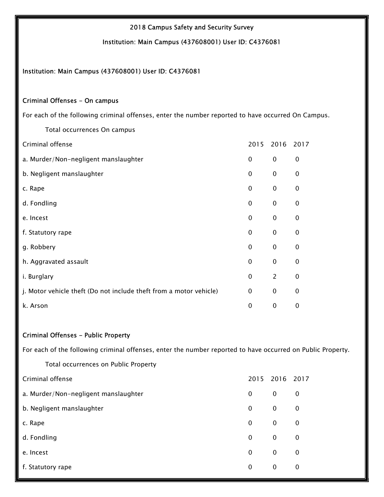#### 2018 Campus Safety and Security Survey

Institution: Main Campus (437608001) User ID: C4376081

#### Institution: Main Campus (437608001) User ID: C4376081

#### Criminal Offenses - On campus

For each of the following criminal offenses, enter the number reported to have occurred On Campus.

| Criminal offense                                                   |              | 2015 2016 2017 |              |
|--------------------------------------------------------------------|--------------|----------------|--------------|
| a. Murder/Non-negligent manslaughter                               | $\mathbf{0}$ | $\mathbf 0$    | $\mathbf 0$  |
| b. Negligent manslaughter                                          | $\mathbf{0}$ | $\mathbf 0$    | $\Omega$     |
| c. Rape                                                            | $\mathbf{0}$ | $\mathbf 0$    | $\Omega$     |
| d. Fondling                                                        | $\mathbf{0}$ | $\mathbf 0$    | $\mathbf{0}$ |
| e. Incest                                                          | 0            | $\mathbf 0$    | 0            |
| f. Statutory rape                                                  | 0            | $\mathbf 0$    | 0            |
| g. Robbery                                                         | 0            | $\mathbf 0$    | 0            |
| h. Aggravated assault                                              | $\mathbf{0}$ | $\pmb{0}$      | $\mathbf 0$  |
| i. Burglary                                                        | $\mathbf 0$  | $\overline{2}$ | $\mathbf 0$  |
| j. Motor vehicle theft (Do not include theft from a motor vehicle) | $\mathbf{0}$ | $\mathbf 0$    | $\mathbf{0}$ |
| k. Arson                                                           | 0            | $\mathbf 0$    | 0            |

Total occurrences On campus

#### Criminal Offenses - Public Property

For each of the following criminal offenses, enter the number reported to have occurred on Public Property.

| Total occurrences on Public Property |             |             |             |
|--------------------------------------|-------------|-------------|-------------|
| Criminal offense                     | 2015        | 2016        | 2017        |
| a. Murder/Non-negligent manslaughter | 0           | 0           | 0           |
| b. Negligent manslaughter            | 0           | $\mathbf 0$ | 0           |
| c. Rape                              | 0           | $\mathbf 0$ | $\mathbf 0$ |
| d. Fondling                          | $\mathbf 0$ | $\mathbf 0$ | $\mathbf 0$ |
| e. Incest                            | 0           | $\mathbf 0$ | 0           |
| f. Statutory rape                    | 0           | $\mathbf 0$ | $\mathbf 0$ |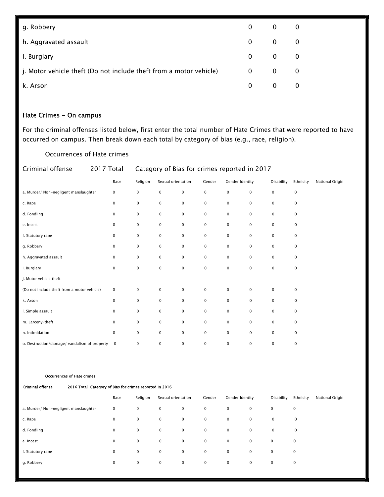| g. Robbery                                                         | 0                 | $\overline{\mathbf{0}}$ | 0                       |
|--------------------------------------------------------------------|-------------------|-------------------------|-------------------------|
| h. Aggravated assault                                              | $0 \qquad \qquad$ | $\overline{\mathbf{0}}$ | $\overline{\mathbf{0}}$ |
| i. Burglary                                                        | 0                 | $0\qquad 0$             |                         |
| j. Motor vehicle theft (Do not include theft from a motor vehicle) | $\mathbf{0}$      | $\mathbf{0}$            | $\Omega$                |
| k. Arson                                                           | 0                 | $\overline{0}$          |                         |

## Hate Crimes - On campus

For the criminal offenses listed below, first enter the total number of Hate Crimes that were reported to have occurred on campus. Then break down each total by category of bias (e.g., race, religion).

Occurrences of Hate crimes

| Criminal offense                             | 2017 Total   | Category of Bias for crimes reported in 2017 |                    |             |             |                        |   |             |             |                 |
|----------------------------------------------|--------------|----------------------------------------------|--------------------|-------------|-------------|------------------------|---|-------------|-------------|-----------------|
|                                              | Race         | Religion                                     | Sexual orientation |             | Gender      | <b>Gender Identity</b> |   | Disability  | Ethnicity   | National Origin |
| a. Murder/ Non-negligent manslaughter        | 0            | 0                                            | $\mathbf 0$        | $\mathsf 0$ | $\mathbf 0$ | 0                      | 0 | $\mathsf 0$ | $\pmb{0}$   |                 |
| c. Rape                                      | $\mathbf 0$  | $\pmb{0}$                                    | 0                  | $\mathbf 0$ | $\mathbf 0$ | $\mathbf 0$            | 0 | $\mathbf 0$ | $\mathbf 0$ |                 |
| d. Fondling                                  | 0            | 0                                            | $\mathbf 0$        | $\mathbf 0$ | $\mathbf 0$ | 0                      | 0 | $\mathbf 0$ | 0           |                 |
| e. Incest                                    | 0            | $\pmb{0}$                                    | $\pmb{0}$          | $\mathbf 0$ | $\mathbf 0$ | 0                      | 0 | $\mathbf 0$ | $\pmb{0}$   |                 |
| f. Statutory rape                            | 0            | 0                                            | 0                  | $\mathbf 0$ | $\pmb{0}$   | 0                      | 0 | $\mathbf 0$ | $\mathbf 0$ |                 |
| g. Robbery                                   | 0            | 0                                            | $\mathbf 0$        | $\mathbf 0$ | $\mathbf 0$ | 0                      | 0 | $\mathbf 0$ | $\pmb{0}$   |                 |
| h. Aggravated assault                        | 0            | 0                                            | $\mathbf 0$        | $\mathbf 0$ | $\mathbf 0$ | 0                      | 0 | $\mathbf 0$ | $\pmb{0}$   |                 |
| i. Burglary                                  | $\pmb{0}$    | $\pmb{0}$                                    | $\mathbf 0$        | $\mathbf 0$ | $\pmb{0}$   | 0                      | 0 | $\mathbf 0$ | $\mathbf 0$ |                 |
| j. Motor vehicle theft                       |              |                                              |                    |             |             |                        |   |             |             |                 |
| (Do not include theft from a motor vehicle)  | 0            | $\pmb{0}$                                    | $\pmb{0}$          | $\mathsf 0$ | $\pmb{0}$   | 0                      | 0 | $\mathsf 0$ | $\pmb{0}$   |                 |
| k. Arson                                     | $\mathbf 0$  | 0                                            | $\mathbf 0$        | $\mathbf 0$ | $\mathbf 0$ | $\mathbf 0$            | 0 | $\mathbf 0$ | 0           |                 |
| I. Simple assault                            | 0            | 0                                            | $\mathbf 0$        | $\mathbf 0$ | $\mathbf 0$ | 0                      | 0 | $\mathbf 0$ | 0           |                 |
| m. Larceny-theft                             | $\mathbf 0$  | 0                                            | 0                  | $\mathbf 0$ | $\mathbf 0$ | $\mathbf 0$            | 0 | $\mathbf 0$ | $\mathbf 0$ |                 |
| n. Intimidation                              | 0            | $\pmb{0}$                                    | $\mathbf 0$        | $\mathbf 0$ | $\mathbf 0$ | 0                      | 0 | $\mathbf 0$ | $\mathbf 0$ |                 |
| o. Destruction/damage/ vandalism of property | $\mathbf{0}$ | 0                                            | 0                  | $\mathbf 0$ | 0           | 0                      | 0 | 0           | 0           |                 |

#### Occurrences of Hate crimes

| <b>Criminal offense</b>               | 2016 Total Category of Bias for crimes reported in 2016 |              |          |                    |             |             |                 |             |             |             |                 |
|---------------------------------------|---------------------------------------------------------|--------------|----------|--------------------|-------------|-------------|-----------------|-------------|-------------|-------------|-----------------|
|                                       |                                                         | Race         | Religion | Sexual orientation |             | Gender      | Gender Identity |             | Disability  | Ethnicity   | National Origin |
| a. Murder/ Non-negligent manslaughter |                                                         | 0            | 0        | $\mathbf 0$        | $\mathbf 0$ | 0           | $\mathbf 0$     | 0           | $\mathbf 0$ | 0           |                 |
| c. Rape                               |                                                         | $\mathbf{0}$ | 0        | $\mathbf 0$        | $\mathbf 0$ | $\mathbf 0$ | $\mathbf 0$     | $\mathbf 0$ | $\mathbf 0$ | $\mathbf 0$ |                 |
| d. Fondling                           |                                                         | $\mathbf{0}$ | 0        | $\mathbf 0$        | $\mathbf 0$ | $\mathbf 0$ | $\mathbf 0$     | $\mathbf 0$ | $\mathbf 0$ | $\mathbf 0$ |                 |
| e. Incest                             |                                                         | $\mathbf{0}$ | 0        | $\mathbf 0$        | $\mathbf 0$ | $\mathbf 0$ | $\mathbf 0$     | $\mathbf 0$ | $\mathbf 0$ | $\mathbf 0$ |                 |
| f. Statutory rape                     |                                                         | 0            | 0        | 0                  | $\mathbf 0$ | $\mathbf 0$ | $\mathbf 0$     | $\mathbf 0$ | $\mathbf 0$ | $\mathbf 0$ |                 |
| g. Robbery                            |                                                         | 0            | 0        | $\mathbf 0$        | $\mathbf 0$ | $\mathbf 0$ | $\mathbf 0$     | $\mathbf 0$ | $\mathbf 0$ | $\mathbf 0$ |                 |
|                                       |                                                         |              |          |                    |             |             |                 |             |             |             |                 |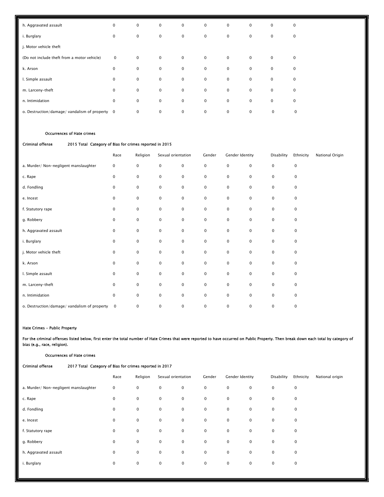| h. Aggravated assault                          | $\mathbf 0$ | $\mathbf 0$ | $\mathbf 0$ | $\mathbf 0$ | $\mathbf 0$ | $\mathbf 0$ | $\mathbf 0$  | $\mathbf 0$ | $\mathbf 0$ |
|------------------------------------------------|-------------|-------------|-------------|-------------|-------------|-------------|--------------|-------------|-------------|
| i. Burglary                                    | $\mathbf 0$ | 0           | $\mathbf 0$ | $\mathbf 0$ | $\mathbf 0$ | $\mathbf 0$ | $\mathbf{0}$ | $\mathbf 0$ | $\mathbf 0$ |
| j. Motor vehicle theft                         |             |             |             |             |             |             |              |             |             |
| (Do not include theft from a motor vehicle)    | 0           | 0           | $\mathbf 0$ | $\mathbf 0$ | $\mathbf 0$ | $\mathbf 0$ | $\mathbf 0$  | $\mathbf 0$ | 0           |
| k. Arson                                       | 0           | $\mathbf 0$ | $\mathbf 0$ | $\mathbf 0$ | $\mathbf 0$ | $\mathbf 0$ | $\mathbf 0$  | $\mathbf 0$ | 0           |
| I. Simple assault                              | $\mathbf 0$ | $\mathbf 0$ | $\mathbf 0$ | $\mathbf 0$ | $\mathbf 0$ | $\mathbf 0$ | $\mathbf 0$  | $\mathsf 0$ | $\mathbf 0$ |
| m. Larceny-theft                               | $\mathbf 0$ | $\mathbf 0$ | $\mathbf 0$ | $\mathbf 0$ | $\mathbf 0$ | $\mathbf 0$ | $\mathbf 0$  | $\mathsf 0$ | $\mathbf 0$ |
| n. Intimidation                                | $\mathbf 0$ | $\mathbf 0$ | $\mathbf 0$ | $\mathbf 0$ | $\mathbf 0$ | $\mathbf 0$ | $\mathbf 0$  | $\mathsf 0$ | $\mathsf 0$ |
| o. Destruction/damage/ vandalism of property 0 |             | $\mathbf 0$ | $\mathbf 0$ | $\mathbf 0$ | 0           | 0           | $\mathbf 0$  | $\mathbf 0$ | 0           |

#### Occurrences of Hate crimes

#### Criminal offense 2015 Total Category of Bias for crimes reported in 2015

|                                              | Race        | Religion  | Sexual orientation |             | Gender      | Gender Identity |                     | Disability  | Ethnicity           | National Origin |
|----------------------------------------------|-------------|-----------|--------------------|-------------|-------------|-----------------|---------------------|-------------|---------------------|-----------------|
| a. Murder/ Non-negligent manslaughter        | $\pmb{0}$   | 0         | $\mathsf 0$        | $\mathsf 0$ | $\pmb{0}$   | $\mathbf 0$     | $\mathbf 0$         | 0           | $\mathsf 0$         |                 |
| c. Rape                                      | $\pmb{0}$   | 0         | $\pmb{0}$          | $\pmb{0}$   | $\pmb{0}$   | 0               | $\mathbf 0$         | 0           | $\pmb{0}$           |                 |
| d. Fondling                                  | $\mathbf 0$ | 0         | $\pmb{0}$          | $\pmb{0}$   | $\pmb{0}$   | $\mathbf 0$     | $\mathbf 0$         | $\mathbf 0$ | $\mathbf 0$         |                 |
| e. Incest                                    | $\mathbf 0$ | 0         | $\pmb{0}$          | $\pmb{0}$   | $\pmb{0}$   | $\mathbf 0$     | $\mathbf 0$         | $\mathbf 0$ | $\mathbf 0$         |                 |
| f. Statutory rape                            | $\mathbf 0$ | 0         | $\pmb{0}$          | $\mathbf 0$ | $\mathbf 0$ | $\mathbf 0$     | $\mathbf 0$         | $\mathbf 0$ | $\mathbf 0$         |                 |
| g. Robbery                                   | $\mathbf 0$ | 0         | $\pmb{0}$          | $\mathbf 0$ | $\pmb{0}$   | $\mathbf 0$     | $\mathbf 0$         | 0           | $\mathbf 0$         |                 |
| h. Aggravated assault                        | 0           | 0         | $\pmb{0}$          | $\mathbf 0$ | $\pmb{0}$   | $\mathbf 0$     | $\mathbf 0$         | 0           | $\mathbf 0$         |                 |
| i. Burglary                                  | $\mathbf 0$ | 0         | $\pmb{0}$          | $\mathbf 0$ | $\pmb{0}$   | $\mathbf 0$     | $\mathbf 0$         | $\mathbf 0$ | $\mathbf 0$         |                 |
| j. Motor vehicle theft                       | $\mathbf 0$ | 0         | $\pmb{0}$          | $\pmb{0}$   | $\pmb{0}$   | $\mathbf 0$     | $\mathbf 0$         | 0           | $\mathbf 0$         |                 |
| k. Arson                                     | $\mathbf 0$ | 0         | $\pmb{0}$          | $\pmb{0}$   | $\pmb{0}$   | 0               | $\mathbf 0$         | $\mathbf 0$ | $\mathbf 0$         |                 |
| I. Simple assault                            | $\mathbf 0$ | 0         | $\pmb{0}$          | $\pmb{0}$   | $\pmb{0}$   | $\mathbf 0$     | $\mathbf 0$         | $\mathbf 0$ | $\mathbf 0$         |                 |
| m. Larceny-theft                             | $\mathbf 0$ | 0         | $\pmb{0}$          | $\mathsf 0$ | $\pmb{0}$   | $\mathbf 0$     | $\mathbf 0$         | $\mathbf 0$ | $\mathbf 0$         |                 |
| n. Intimidation                              | $\pmb{0}$   | $\pmb{0}$ | $\pmb{0}$          | $\pmb{0}$   | $\pmb{0}$   | $\mathbf 0$     | $\mathsf{O}\xspace$ | $\mathbf 0$ | $\mathsf{O}\xspace$ |                 |
| o. Destruction/damage/ vandalism of property | $\mathbf 0$ | 0         | 0                  | $\pmb{0}$   | $\pmb{0}$   | 0               | 0                   | 0           | $\mathsf 0$         |                 |

#### Hate Crimes - Public Property

Occurrences of Hate crimes

For the criminal offenses listed below, first enter the total number of Hate Crimes that were reported to have occurred on Public Property. Then break down each total by category of bias (e.g., race, religion).

| <b>Criminal offense</b><br>2017 Total Category of Bias for crimes reported in 2017 |             |             |                     |             |             |                 |             |            |             |                 |  |
|------------------------------------------------------------------------------------|-------------|-------------|---------------------|-------------|-------------|-----------------|-------------|------------|-------------|-----------------|--|
|                                                                                    | Race        | Religion    | Sexual orientation  |             | Gender      | Gender Identity |             | Disability | Ethnicity   | National origin |  |
| a. Murder/ Non-negligent manslaughter                                              | $\mathbf 0$ | 0           | $\mathsf{O}\xspace$ | $\mathbf 0$ | $\pmb{0}$   | $\mathbf 0$     | $\mathbf 0$ | 0          | $\mathsf 0$ |                 |  |
| c. Rape                                                                            | 0           | $\mathbf 0$ | $\mathbf 0$         | $\mathbf 0$ | $\mathbf 0$ | $\mathbf 0$     | $\mathbf 0$ | 0          | $\mathbf 0$ |                 |  |
| d. Fondling                                                                        | $\pmb{0}$   | $\mathbf 0$ | $\mathbf 0$         | $\mathbf 0$ | $\pmb{0}$   | $\mathbf 0$     | $\mathbf 0$ | 0          | $\mathbf 0$ |                 |  |
| e. Incest                                                                          | 0           | 0           | $\mathbf 0$         | $\mathbf 0$ | $\mathbf 0$ | $\mathbf 0$     | $\mathbf 0$ | 0          | $\mathbf 0$ |                 |  |
| f. Statutory rape                                                                  | $\mathbf 0$ | $\mathbf 0$ | $\mathbf 0$         | $\mathbf 0$ | $\mathbf 0$ | $\mathbf 0$     | $\mathbf 0$ | 0          | $\mathbf 0$ |                 |  |
| g. Robbery                                                                         | $\mathbf 0$ | $\mathbf 0$ | $\mathbf 0$         | $\mathbf 0$ | $\pmb{0}$   | $\mathbf 0$     | $\mathbf 0$ | 0          | $\mathbf 0$ |                 |  |
| h. Aggravated assault                                                              | 0           | 0           | $\mathbf 0$         | $\mathbf 0$ | $\mathbf 0$ | $\mathbf 0$     | $\mathbf 0$ | 0          | $\mathbf 0$ |                 |  |
| i. Burglary                                                                        | 0           | 0           | $\mathsf{O}\xspace$ | $\mathbf 0$ | $\pmb{0}$   | $\mathbf 0$     | $\mathbf 0$ | 0          | $\mathbf 0$ |                 |  |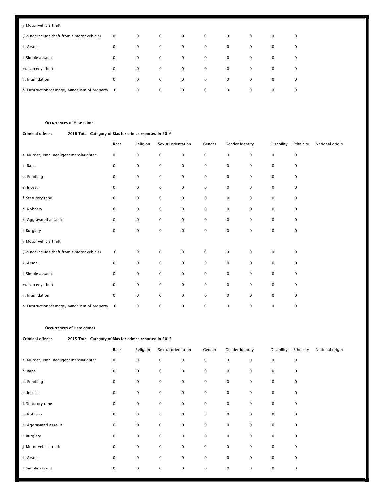| j. Motor vehicle theft                       |              |              |             |             |             |             |             |             |             |
|----------------------------------------------|--------------|--------------|-------------|-------------|-------------|-------------|-------------|-------------|-------------|
| (Do not include theft from a motor vehicle)  | $\mathbf 0$  | $\mathbf 0$  | $\mathbf 0$ | $\mathbf 0$ | $\mathbf 0$ | $\mathbf 0$ | $\mathbf 0$ | $\mathbf 0$ | $\mathbf 0$ |
| k. Arson                                     | $\mathbf 0$  | $\mathbf{0}$ | $\mathbf 0$ | $\mathbf 0$ | $\mathbf 0$ | $\mathbf 0$ | $\mathbf 0$ | $\mathbf 0$ | $\mathbf 0$ |
| I. Simple assault                            | $\mathbf 0$  | $\mathbf 0$  | $\mathbf 0$ | $\mathbf 0$ | $\mathbf 0$ | $\mathbf 0$ | $\mathbf 0$ | $\mathbf 0$ | $\mathbf 0$ |
| m. Larceny-theft                             | $\mathbf 0$  | $\mathbf 0$  | $\mathbf 0$ | $\mathbf 0$ | $\mathbf 0$ | $\mathbf 0$ | $\mathbf 0$ | $\mathbf 0$ | $\mathbf 0$ |
| n. Intimidation                              | $\mathbf 0$  | $\mathbf 0$  | $\mathbf 0$ | $\mathbf 0$ | $\mathbf 0$ | $\mathbf 0$ | $\mathbf 0$ | $\mathbf 0$ | $\mathbf 0$ |
| o. Destruction/damage/ vandalism of property | $\mathbf{0}$ | $\mathbf 0$  | $\mathbf 0$ | $\mathbf 0$ | $\mathbf 0$ | $\mathbf 0$ | $\mathbf 0$ | $\mathbf 0$ | $\mathbf 0$ |

#### Occurrences of Hate crimes

#### Criminal offense 2016 Total Category of Bias for crimes reported in 2016

|                                              | Race        | Religion            | Sexual orientation |                     | Gender              | Gender identity |             | Disability | Ethnicity           | National origin |
|----------------------------------------------|-------------|---------------------|--------------------|---------------------|---------------------|-----------------|-------------|------------|---------------------|-----------------|
| a. Murder/ Non-negligent manslaughter        | 0           | 0                   | $\mathsf 0$        | $\mathsf 0$         | $\mathsf{O}\xspace$ | 0               | $\mathsf 0$ | 0          | $\mathsf{O}\xspace$ |                 |
| c. Rape                                      | $\mathbf 0$ | 0                   | $\mathbf 0$        | $\mathbf 0$         | 0                   | $\mathbf 0$     | $\mathbf 0$ | 0          | $\mathbf 0$         |                 |
| d. Fondling                                  | 0           | 0                   | $\pmb{0}$          | $\pmb{0}$           | $\pmb{0}$           | $\mathbf 0$     | $\mathbf 0$ | 0          | $\mathbf 0$         |                 |
| e. Incest                                    | 0           | 0                   | $\pmb{0}$          | $\pmb{0}$           | $\pmb{0}$           | $\mathbf 0$     | $\pmb{0}$   | 0          | $\mathbf 0$         |                 |
| f. Statutory rape                            | 0           | 0                   | $\pmb{0}$          | $\pmb{0}$           | $\pmb{0}$           | $\mathbf 0$     | $\mathbf 0$ | 0          | $\mathbf 0$         |                 |
| g. Robbery                                   | 0           | 0                   | $\pmb{0}$          | $\pmb{0}$           | $\pmb{0}$           | $\mathbf 0$     | $\mathbf 0$ | 0          | $\mathbf 0$         |                 |
| h. Aggravated assault                        | 0           | 0                   | $\mathbf 0$        | $\mathbf 0$         | $\mathbf 0$         | $\mathbf 0$     | $\mathbf 0$ | 0          | $\mathbf 0$         |                 |
| i. Burglary                                  | 0           | $\mathsf{O}\xspace$ | $\pmb{0}$          | $\pmb{0}$           | $\pmb{0}$           | $\mathbf 0$     | $\mathbf 0$ | 0          | $\mathbf 0$         |                 |
| j. Motor vehicle theft                       |             |                     |                    |                     |                     |                 |             |            |                     |                 |
| (Do not include theft from a motor vehicle)  | $\mathbf 0$ | 0                   | $\mathsf 0$        | $\mathsf{O}\xspace$ | $\mathbf 0$         | $\mathbf 0$     | $\mathbf 0$ | 0          | $\mathsf 0$         |                 |
| k. Arson                                     | 0           | 0                   | $\pmb{0}$          | $\pmb{0}$           | $\pmb{0}$           | $\mathbf 0$     | $\mathbf 0$ | 0          | $\mathbf 0$         |                 |
| I. Simple assault                            | $\mathbf 0$ | 0                   | $\pmb{0}$          | $\mathbf 0$         | $\mathbf 0$         | $\mathbf 0$     | $\mathbf 0$ | 0          | $\mathbf 0$         |                 |
| m. Larceny-theft                             | 0           | 0                   | $\pmb{0}$          | $\pmb{0}$           | $\pmb{0}$           | 0               | $\mathbf 0$ | 0          | $\mathbf 0$         |                 |
| n. Intimidation                              | 0           | 0                   | $\pmb{0}$          | $\pmb{0}$           | $\pmb{0}$           | $\mathbf 0$     | $\mathbf 0$ | 0          | $\mathbf 0$         |                 |
| o. Destruction/damage/ vandalism of property | $\mathbf 0$ | 0                   | 0                  | $\mathbf 0$         | 0                   | $\pmb{0}$       | $\mathbf 0$ | 0          | $\mathsf 0$         |                 |

#### Occurrences of Hate crimes

| Criminal offence |  |
|------------------|--|

#### se 2015 Total Category of Bias for crimes reported in 2015

|                                       | Race        | Religion    | Sexual orientation |             | Gender      | Gender identity |             | Disability  | Ethnicity   | National origin |
|---------------------------------------|-------------|-------------|--------------------|-------------|-------------|-----------------|-------------|-------------|-------------|-----------------|
| a. Murder/ Non-negligent manslaughter | 0           | $\mathbf 0$ | $\pmb{0}$          | $\mathbf 0$ | $\pmb{0}$   | $\mathbf 0$     | $\mathbf 0$ | $\mathbf 0$ | $\mathsf 0$ |                 |
| c. Rape                               | $\mathbf 0$ | 0           | $\mathbf 0$        | $\mathbf 0$ | $\mathbf 0$ | $\mathbf 0$     | $\mathbf 0$ | 0           | $\mathbf 0$ |                 |
| d. Fondling                           | $\mathbf 0$ | $\mathbf 0$ | $\mathbf 0$        | $\mathbf 0$ | $\pmb{0}$   | $\mathbf 0$     | $\mathbf 0$ | $\mathbf 0$ | $\mathbf 0$ |                 |
| e. Incest                             | $\mathbf 0$ | $\mathbf 0$ | $\mathbf 0$        | $\mathbf 0$ | $\mathbf 0$ | $\mathbf 0$     | $\mathbf 0$ | 0           | $\mathbf 0$ |                 |
| f. Statutory rape                     | $\mathbf 0$ | $\mathbf 0$ | $\mathbf 0$        | $\mathbf 0$ | $\mathbf 0$ | $\mathbf 0$     | $\mathbf 0$ | $\mathbf 0$ | $\mathbf 0$ |                 |
| g. Robbery                            | $\mathbf 0$ | $\mathbf 0$ | $\mathbf 0$        | $\mathbf 0$ | $\mathbf 0$ | $\mathbf 0$     | $\mathbf 0$ | 0           | $\mathbf 0$ |                 |
| h. Aggravated assault                 | $\mathbf 0$ | $\pmb{0}$   | $\mathbf 0$        | $\mathbf 0$ | $\mathbf 0$ | $\mathbf 0$     | $\mathbf 0$ | 0           | $\pmb{0}$   |                 |
| i. Burglary                           | $\mathbf 0$ | $\mathbf 0$ | $\mathbf 0$        | $\mathbf 0$ | $\pmb{0}$   | $\mathbf 0$     | $\mathbf 0$ | $\mathbf 0$ | $\mathbf 0$ |                 |
| j. Motor vehicle theft                | $\mathbf 0$ | $\mathbf 0$ | $\mathbf 0$        | $\mathbf 0$ | $\mathbf 0$ | $\mathbf 0$     | $\mathbf 0$ | $\mathbf 0$ | $\mathbf 0$ |                 |
| k. Arson                              | $\mathbf 0$ | $\mathbf 0$ | $\mathbf 0$        | $\mathbf 0$ | $\mathbf 0$ | 0               | $\mathbf 0$ | 0           | $\pmb{0}$   |                 |
| I. Simple assault                     | $\mathbf 0$ | $\pmb{0}$   | $\mathbf 0$        | $\mathbf 0$ | $\mathbf 0$ | $\mathbf 0$     | $\mathbf 0$ | $\mathbf 0$ | $\mathbf 0$ |                 |
|                                       |             |             |                    |             |             |                 |             |             |             |                 |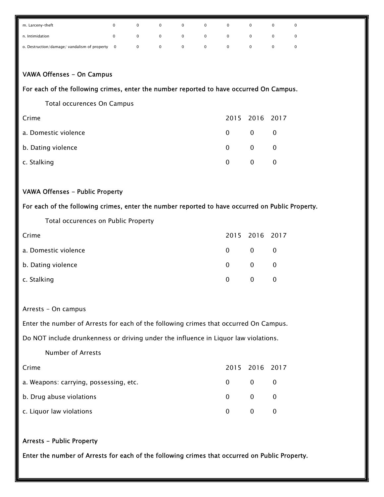| m. Larceny-theft                               |  |              | $\mathbf 0$    |              |   |   |  |
|------------------------------------------------|--|--------------|----------------|--------------|---|---|--|
| n. Intimidation                                |  |              | $\overline{0}$ | $\mathbf{0}$ | 0 | 0 |  |
| o. Destruction/damage/ vandalism of property 0 |  | $\mathbf{0}$ | $\overline{0}$ | $\mathbf{0}$ | 0 |   |  |

#### VAWA Offenses - On Campus

#### For each of the following crimes, enter the number reported to have occurred On Campus.

| Total occurences On Campus |  |
|----------------------------|--|
|----------------------------|--|

| Crime                |          | 2015 2016 2017          |                |
|----------------------|----------|-------------------------|----------------|
| a. Domestic violence |          | $0 \qquad 0 \qquad 0$   |                |
| b. Dating violence   |          | $0 \qquad 0 \qquad 0$   |                |
| c. Stalking          | $\Omega$ | $\overline{\mathbf{0}}$ | $\overline{0}$ |

#### VAWA Offenses - Public Property

#### For each of the following crimes, enter the number reported to have occurred on Public Property.

Total occurences on Public Property

| Crime                |          | 2015 2016 2017          |                |
|----------------------|----------|-------------------------|----------------|
| a. Domestic violence | 0        | $\overline{0}$          | $\overline{0}$ |
| b. Dating violence   | $\Omega$ | $\overline{\mathbf{0}}$ | $\overline{0}$ |
| c. Stalking          | $\Omega$ | $\mathbf{0}$            | $\overline{0}$ |

#### Arrests - On campus

Enter the number of Arrests for each of the following crimes that occurred On Campus.

Do NOT include drunkenness or driving under the influence in Liquor law violations.

#### Number of Arrests

| Crime                                  |          | 2015 2016 2017                          |  |
|----------------------------------------|----------|-----------------------------------------|--|
| a. Weapons: carrying, possessing, etc. |          | $0 \qquad 0 \qquad 0$                   |  |
| b. Drug abuse violations               |          | $\begin{matrix} 0 & 0 & 0 \end{matrix}$ |  |
| c. Liquor law violations               | $\Omega$ | $\begin{matrix} 0 & 0 \end{matrix}$     |  |

#### Arrests - Public Property

Enter the number of Arrests for each of the following crimes that occurred on Public Property.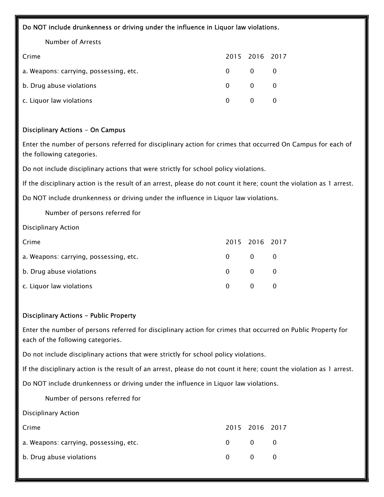#### Do NOT include drunkenness or driving under the influence in Liquor law violations.

Number of Arrests

| Crime                                  |          | 2015 2016 2017                  |  |
|----------------------------------------|----------|---------------------------------|--|
| a. Weapons: carrying, possessing, etc. |          | $0 \qquad 0 \qquad 0$           |  |
| b. Drug abuse violations               |          | $0 \qquad 0 \qquad 0$           |  |
| c. Liquor law violations               | $\Omega$ | $\begin{matrix}0&0\end{matrix}$ |  |

#### Disciplinary Actions - On Campus

Enter the number of persons referred for disciplinary action for crimes that occurred On Campus for each of the following categories.

Do not include disciplinary actions that were strictly for school policy violations.

If the disciplinary action is the result of an arrest, please do not count it here; count the violation as 1 arrest.

Do NOT include drunkenness or driving under the influence in Liquor law violations.

Number of persons referred for

Disciplinary Action

| Crime                                  |                | 2015 2016 2017                  |  |
|----------------------------------------|----------------|---------------------------------|--|
| a. Weapons: carrying, possessing, etc. |                | $0 \qquad 0 \qquad 0$           |  |
| b. Drug abuse violations               |                | $0 \qquad 0 \qquad 0$           |  |
| c. Liquor law violations               | $\overline{0}$ | $\begin{matrix}0&0\end{matrix}$ |  |

#### Disciplinary Actions - Public Property

Enter the number of persons referred for disciplinary action for crimes that occurred on Public Property for each of the following categories.

Do not include disciplinary actions that were strictly for school policy violations.

If the disciplinary action is the result of an arrest, please do not count it here; count the violation as 1 arrest.

Do NOT include drunkenness or driving under the influence in Liquor law violations.

Number of persons referred for

Disciplinary Action

| Crime                                  |          | 2015 2016 2017                      |  |
|----------------------------------------|----------|-------------------------------------|--|
| a. Weapons: carrying, possessing, etc. | $\Omega$ | $\begin{matrix} 0 & 0 \end{matrix}$ |  |
| b. Drug abuse violations               | $\Omega$ | $\begin{matrix} 0 & 0 \end{matrix}$ |  |